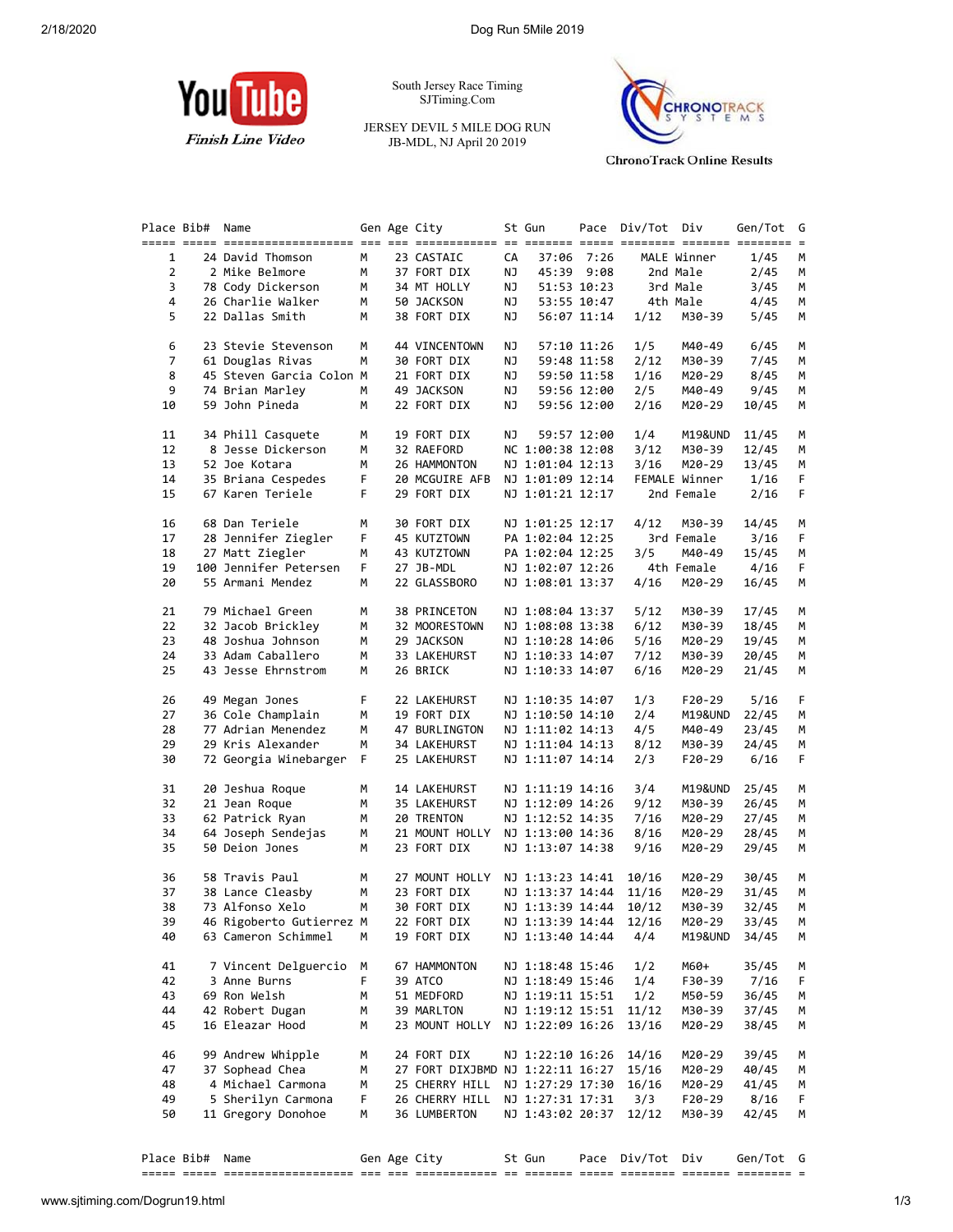

South Jersey Race Timing SJTiming.Com

JERSEY DEVIL 5 MILE DOG RUN JB-MDL, NJ April 20 2019



**ChronoTrack Online Results** 

|                | Place Bib# | Name                     |    | Gen Age City                     |    | St Gun                 |             | Pace Div/Tot Div |               | Gen/Tot | G  |
|----------------|------------|--------------------------|----|----------------------------------|----|------------------------|-------------|------------------|---------------|---------|----|
|                |            |                          |    |                                  |    |                        |             |                  |               |         |    |
| $\mathbf{1}$   |            | 24 David Thomson         | M  | 23 CASTAIC                       | CA |                        | 37:06 7:26  |                  | MALE Winner   | 1/45    | М  |
| $\overline{2}$ |            | 2 Mike Belmore           | M  | 37 FORT DIX                      | ΝJ |                        | 45:39 9:08  |                  | 2nd Male      | 2/45    | М  |
| 3              |            | 78 Cody Dickerson        | M  | 34 MT HOLLY                      | ΝJ |                        | 51:53 10:23 |                  | 3rd Male      | 3/45    | М  |
| 4              |            | 26 Charlie Walker        | M  | 50 JACKSON                       | ΝJ |                        | 53:55 10:47 | 4th Male         |               | 4/45    | М  |
| 5              |            | 22 Dallas Smith          | м  | 38 FORT DIX                      | ΝJ |                        | 56:07 11:14 | 1/12             | M30-39        | 5/45    | М  |
| 6              |            | 23 Stevie Stevenson      | М  | 44 VINCENTOWN                    | ΝJ |                        | 57:10 11:26 | 1/5              | M40-49        | 6/45    | М  |
| $\overline{7}$ |            | 61 Douglas Rivas         | М  | 30 FORT DIX                      | ΝJ |                        | 59:48 11:58 | 2/12             | M30-39        | 7/45    | М  |
| 8              |            | 45 Steven Garcia Colon M |    | 21 FORT DIX                      | ΝJ |                        | 59:50 11:58 | 1/16             | M20-29        | 8/45    | М  |
| 9              |            | 74 Brian Marley          | м  | 49 JACKSON                       | ΝJ |                        | 59:56 12:00 | 2/5              | M40-49        | 9/45    | М  |
| 10             |            | 59 John Pineda           | м  | 22 FORT DIX                      | ΝJ |                        | 59:56 12:00 | 2/16             | M20-29        | 10/45   | М  |
| 11             |            | 34 Phill Casquete        | М  | 19 FORT DIX                      | ΝJ |                        | 59:57 12:00 | 1/4              | M19&UND       | 11/45   | М  |
| 12             |            | 8 Jesse Dickerson        | М  | 32 RAEFORD                       |    | NC 1:00:38 12:08       |             | 3/12             | M30-39        | 12/45   | М  |
| 13             |            | 52 Joe Kotara            | M  | 26 HAMMONTON                     |    | NJ 1:01:04 12:13       |             | 3/16             | M20-29        | 13/45   | М  |
| 14             |            | 35 Briana Cespedes       | F. | 20 MCGUIRE AFB                   |    | NJ 1:01:09 12:14       |             |                  | FEMALE Winner | 1/16    | F. |
| 15             |            | 67 Karen Teriele         | F. | 29 FORT DIX                      |    | NJ 1:01:21 12:17       |             |                  | 2nd Female    | 2/16    | F. |
| 16             |            | 68 Dan Teriele           | М  | 30 FORT DIX                      |    | NJ 1:01:25 12:17       |             | 4/12             | M30-39        | 14/45   | М  |
| 17             |            | 28 Jennifer Ziegler      | F. | 45 KUTZTOWN                      |    | PA 1:02:04 12:25       |             |                  | 3rd Female    | 3/16    | F  |
| 18             |            | 27 Matt Ziegler          | M  | 43 KUTZTOWN                      |    | PA 1:02:04 12:25       |             | 3/5              | M40-49        | 15/45   | М  |
| 19             |            | 100 Jennifer Petersen    | F. | 27 JB-MDL                        |    | NJ 1:02:07 12:26       |             |                  | 4th Female    | 4/16    | F. |
| 20             |            | 55 Armani Mendez         | М  | 22 GLASSBORO                     |    | NJ 1:08:01 13:37       |             | 4/16             | M20-29        | 16/45   | М  |
| 21             |            | 79 Michael Green         | м  | 38 PRINCETON                     |    | NJ 1:08:04 13:37       |             | 5/12             | M30-39        | 17/45   | М  |
| 22             |            | 32 Jacob Brickley        | М  | 32 MOORESTOWN                    |    | NJ 1:08:08 13:38       |             | 6/12             | M30-39        | 18/45   | М  |
| 23             |            | 48 Joshua Johnson        | М  | 29 JACKSON                       |    | NJ 1:10:28 14:06       |             | 5/16             | M20-29        | 19/45   | М  |
| 24             |            | 33 Adam Caballero        | М  | 33 LAKEHURST                     |    | NJ 1:10:33 14:07       |             | 7/12             | M30-39        | 20/45   | М  |
| 25             |            | 43 Jesse Ehrnstrom       | м  | 26 BRICK                         |    | NJ 1:10:33 14:07       |             | 6/16             | M20-29        | 21/45   | М  |
| 26             |            | 49 Megan Jones           | F. | 22 LAKEHURST                     |    | NJ 1:10:35 14:07       |             | 1/3              | F20-29        | 5/16    | F. |
| 27             |            | 36 Cole Champlain        | М  | 19 FORT DIX                      |    | NJ 1:10:50 14:10       |             | 2/4              | M19&UND       | 22/45   | М  |
| 28             |            | 77 Adrian Menendez       | М  | 47 BURLINGTON                    |    | NJ 1:11:02 14:13       |             | 4/5              | M40-49        | 23/45   | М  |
| 29             |            | 29 Kris Alexander        | M  | 34 LAKEHURST                     |    | NJ 1:11:04 14:13       |             | 8/12             | M30-39        | 24/45   | М  |
| 30             |            | 72 Georgia Winebarger    | F. | 25 LAKEHURST                     |    | NJ 1:11:07 14:14       |             | 2/3              | F20-29        | 6/16    | F. |
| 31             |            | 20 Jeshua Roque          | М  | 14 LAKEHURST                     |    | NJ 1:11:19 14:16       |             | 3/4              | M19&UND       | 25/45   | М  |
| 32             |            | 21 Jean Roque            | м  | 35 LAKEHURST                     |    | NJ 1:12:09 14:26       |             | 9/12             | M30-39        | 26/45   | М  |
| 33             |            | 62 Patrick Ryan          | М  | 20 TRENTON                       |    | NJ 1:12:52 14:35       |             | 7/16             | M20-29        | 27/45   | М  |
| 34             |            | 64 Joseph Sendejas       | м  | 21 MOUNT HOLLY                   |    | NJ 1:13:00 14:36       |             | 8/16             | M20-29        | 28/45   | M  |
| 35             |            | 50 Deion Jones           | м  | 23 FORT DIX                      |    | NJ 1:13:07 14:38       |             | 9/16             | M20-29        | 29/45   | М  |
| 36             |            | 58 Travis Paul           | М  | 27 MOUNT HOLLY                   |    | NJ 1:13:23 14:41       |             | 10/16            | M20-29        | 30/45   | M  |
| 37             |            | 38 Lance Cleasby         | М  | 23 FORT DIX                      |    | NJ 1:13:37 14:44 11/16 |             |                  | M20-29        | 31/45   | М  |
| 38             |            | 73 Alfonso Xelo          | M  | 30 FORT DIX                      |    | NJ 1:13:39 14:44 10/12 |             |                  | M30-39        | 32/45   | M  |
| 39             |            | 46 Rigoberto Gutierrez M |    | 22 FORT DIX                      |    | NJ 1:13:39 14:44 12/16 |             |                  | M20-29        | 33/45 M |    |
| 40             |            | 63 Cameron Schimmel      | М  | 19 FORT DIX                      |    | NJ 1:13:40 14:44       |             | 4/4              | M19&UND       | 34/45   | м  |
| 41             |            | 7 Vincent Delguercio M   |    | 67 HAMMONTON                     |    | NJ 1:18:48 15:46       |             | 1/2              | M60+          | 35/45   | м  |
| 42             |            | 3 Anne Burns             | F  | 39 ATCO                          |    | NJ 1:18:49 15:46       |             | 1/4              | F30-39        | 7/16    | F  |
| 43             |            | 69 Ron Welsh             | М  | 51 MEDFORD                       |    | NJ 1:19:11 15:51       |             | 1/2              | M50-59        | 36/45   | M  |
| 44             |            | 42 Robert Dugan          | м  | 39 MARLTON                       |    | NJ 1:19:12 15:51       |             | 11/12            | M30-39        | 37/45   | M  |
| 45             |            | 16 Eleazar Hood          | м  | 23 MOUNT HOLLY                   |    | NJ 1:22:09 16:26       |             | 13/16            | M20-29        | 38/45   | М  |
| 46             |            | 99 Andrew Whipple        | М  | 24 FORT DIX                      |    | NJ 1:22:10 16:26       |             | 14/16            | M20-29        | 39/45   | M  |
| 47             |            | 37 Sophead Chea          | м  | 27 FORT DIXJBMD NJ 1:22:11 16:27 |    |                        |             | 15/16            | M20-29        | 40/45   | M  |
| 48             |            | 4 Michael Carmona        | м  | 25 CHERRY HILL                   |    | NJ 1:27:29 17:30       |             | 16/16            | M20-29        | 41/45   | M  |
| 49             |            | 5 Sherilyn Carmona       | F  | 26 CHERRY HILL                   |    | NJ 1:27:31 17:31       |             | 3/3              | $F20-29$      | 8/16    | F  |
| 50             |            | 11 Gregory Donohoe       | М  | 36 LUMBERTON                     |    | NJ 1:43:02 20:37       |             | 12/12            | M30-39        | 42/45   | М  |
|                |            |                          |    |                                  |    |                        |             |                  |               |         |    |
|                |            |                          |    |                                  |    |                        |             |                  |               |         |    |

| Place Bib# | Name                                                      | Gen     | Age City         | <b>St Gun</b> | Pace Div/Tot Div | Gen/Tot   |  |
|------------|-----------------------------------------------------------|---------|------------------|---------------|------------------|-----------|--|
|            | --------------------<br>_________________________________ | --- --- | ________________ |               | _________        | _________ |  |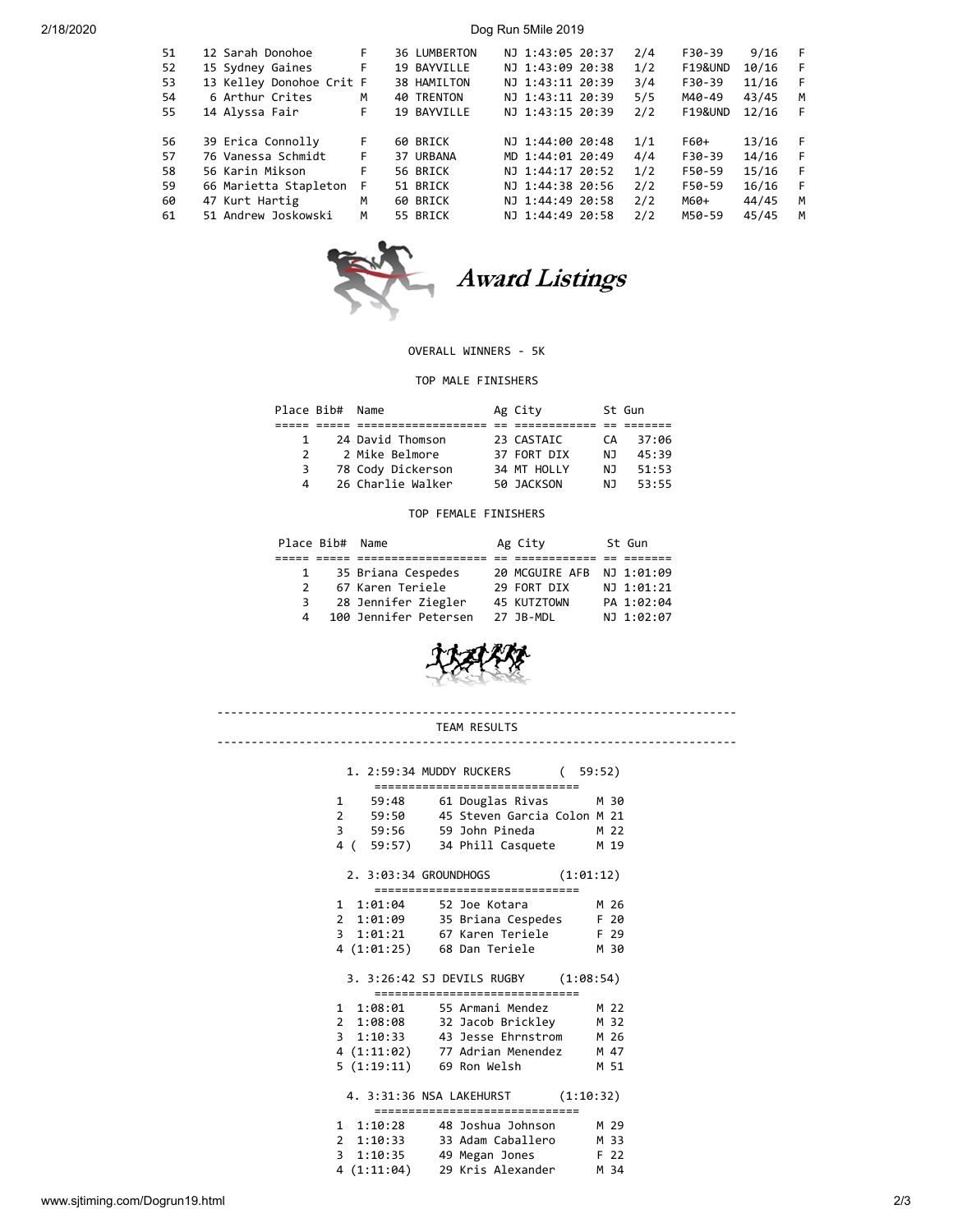2/18/2020 Dog Run 5Mile 2019

| 51 | 12 Sarah Donohoe         | F. | 36 LUMBERTON      | NJ 1:43:05 20:37 | 2/4 | F30-39             | 9/16  | - F |
|----|--------------------------|----|-------------------|------------------|-----|--------------------|-------|-----|
| 52 | 15 Sydney Gaines         | F  | 19 BAYVILLE       | NJ 1:43:09 20:38 | 1/2 | <b>F19&amp;UND</b> | 10/16 | -F  |
| 53 | 13 Kelley Donohoe Crit F |    | 38 HAMILTON       | NJ 1:43:11 20:39 | 3/4 | F30-39             | 11/16 | -F  |
| 54 | 6 Arthur Crites          | M  | <b>40 TRENTON</b> | NJ 1:43:11 20:39 | 5/5 | M40-49             | 43/45 | M   |
| 55 | 14 Alyssa Fair           | F  | 19 BAYVILLE       | NJ 1:43:15 20:39 | 2/2 | <b>F19&amp;UND</b> | 12/16 | F   |
|    |                          |    |                   |                  |     |                    |       |     |
| 56 | 39 Erica Connolly        | F  | 60 BRICK          | NJ 1:44:00 20:48 | 1/1 | F60+               | 13/16 | - F |
| 57 | 76 Vanessa Schmidt       | F. | 37 URBANA         | MD 1:44:01 20:49 | 4/4 | F30-39             | 14/16 | - F |
| 58 | 56 Karin Mikson          | F  | 56 BRICK          | NJ 1:44:17 20:52 | 1/2 | F50-59             | 15/16 | - F |
| 59 | 66 Marietta Stapleton    | F  | 51 BRICK          | NJ 1:44:38 20:56 | 2/2 | F50-59             | 16/16 | - F |
| 60 | 47 Kurt Hartig           | M  | 60 BRICK          | NJ 1:44:49 20:58 | 2/2 | M60+               | 44/45 | M   |
| 61 | 51 Andrew Joskowski      | M  | 55 BRICK          | NJ 1:44:49 20:58 | 2/2 | M50-59             | 45/45 | М   |
|    |                          |    |                   |                  |     |                    |       |     |



Award Listings

# OVERALL WINNERS - 5K

## TOP MALE FINISHERS

|               | Place Bib# Name   | Ag City     |     | St Gun |
|---------------|-------------------|-------------|-----|--------|
|               |                   |             |     |        |
| 1.            | 24 David Thomson  | 23 CASTAIC  | CА  | 37:06  |
| $\mathcal{P}$ | 2 Mike Belmore    | 37 FORT DIX | N J | 45:39  |
| 3             | 78 Cody Dickerson | 34 MT HOLLY | N J | 51:53  |
| Δ             | 26 Charlie Walker | 50 JACKSON  | N J | 53:55  |

### TOP FEMALE FINISHERS

| Place Bib# Name |                       | Ag City                   | St Gun     |
|-----------------|-----------------------|---------------------------|------------|
|                 |                       |                           |            |
| $\mathbf{1}$    | 35 Briana Cespedes    | 20 MCGUIRE AFB NJ 1:01:09 |            |
| $\mathcal{P}$   | 67 Karen Teriele      | 29 FORT DIX               | NJ 1:01:21 |
| 3               | 28 Jennifer Ziegler   | 45 KUTZTOWN               | PA 1:02:04 |
| $\overline{4}$  | 100 Jennifer Petersen | 27 JB-MDL                 | NJ 1:02:07 |



## ---------------------------------------------------------------------------- TEAM RESULTS

----------------------------------------------------------------------------

| 1. 2:59:34 MUDDY RUCKERS<br>(59:52)                                                                                                                                                                                        |  |
|----------------------------------------------------------------------------------------------------------------------------------------------------------------------------------------------------------------------------|--|
| ================================<br>61 Douglas Rivas<br>M 30<br>$\mathbf{1}$<br>59:48<br>45 Steven Garcia Colon M 21<br>2 59:50<br>3 59:56 59 John Pineda M 22<br>4 ( 59:57) 34 Phill Casquete<br>M 19                     |  |
| (1:01:12)<br>2. 3:03:34 GROUNDHOGS                                                                                                                                                                                         |  |
| ===================<br>M 26<br>1 1:01:04<br>52 Joe Kotara<br>2 1:01:09 35 Briana Cespedes<br>F 20<br>3 1:01:21 67 Karen Teriele F 29<br>4 (1:01:25) 68 Dan Teriele<br>M 30                                                 |  |
| 3. 3:26:42 SJ DEVILS RUGBY (1:08:54)                                                                                                                                                                                       |  |
| ================================<br>1 1:08:01 55 Armani Mendez<br>M 22<br>2 1:08:08 32 Jacob Brickley M 32<br>3 1:10:33 43 Jesse Ehrnstrom M 26<br>4 (1:11:02) 77 Adrian Menendez M 47<br>5 (1:19:11) 69 Ron Welsh<br>M 51 |  |
| 4. 3:31:36 NSA LAKEHURST (1:10:32)                                                                                                                                                                                         |  |
| =================<br>1 1:10:28<br>48 Joshua Johnson<br>M 29<br>2 1:10:33<br>33 Adam Caballero<br>M 33<br>3 1:10:35 49 Megan Jones<br>F 22<br>4 (1:11:04) 29 Kris Alexander<br>M 34                                         |  |